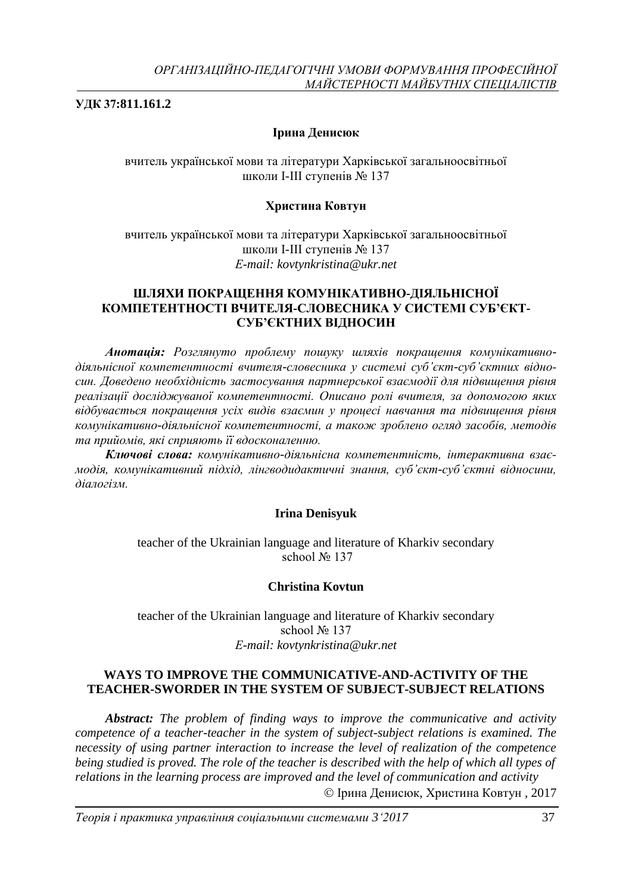**УДК 37:811.161.2**

### **Ірина Денисюк**

вчитель української мови та літератури Харківської загальноосвітньої школи І-ІІІ ступенів № 137

### **Христина Ковтун**

вчитель української мови та літератури Харківської загальноосвітньої школи І-ІІІ ступенів № 137 *Е-mail: kovtynkristina@ukr.net*

### **ШЛЯХИ ПОКРАЩЕННЯ КОМУНІКАТИВНО-ДІЯЛЬНІСНОЇ КОМПЕТЕНТНОСТІ ВЧИТЕЛЯ-СЛОВЕСНИКА У СИСТЕМІ СУБ'ЄКТ-СУБ'ЄКТНИХ ВІДНОСИН**

*Анотація: Розглянуто проблему пошуку шляхів покращення комунікативнодіяльнісної компетентності вчителя-словесника у системі суб'єкт-суб'єктних відносин. Доведено необхідність застосування партнерської взаємодії для підвищення рівня реалізації досліджуваної компетентності. Описано ролі вчителя, за допомогою яких відбувається покращення усіх видів взаємин у процесі навчання та підвищення рівня комунікативно-діяльнісної компетентності, а також зроблено огляд засобів, методів та прийомів, які сприяють її вдосконаленню.* 

*Ключові слова: комунікативно-діяльнісна компетентність, інтерактивна взаємодія, комунікативний підхід, лінгводидактичні знання, суб'єкт-суб'єктні відносини, діалогізм.*

#### **Irina Denisyuk**

teacher of the Ukrainian language and literature of Kharkiv secondary school No 137

#### **Christina Kovtun**

teacher of the Ukrainian language and literature of Kharkiv secondary school № 137 *Е-mail: kovtynkristina@ukr.net*

### **WAYS TO IMPROVE THE COMMUNICATIVE-AND-ACTIVITY OF THE TEACHER-SWORDER IN THE SYSTEM OF SUBJECT-SUBJECT RELATIONS**

*Abstract: The problem of finding ways to improve the communicative and activity competence of a teacher-teacher in the system of subject-subject relations is examined. The necessity of using partner interaction to increase the level of realization of the competence being studied is proved. The role of the teacher is described with the help of which all types of relations in the learning process are improved and the level of communication and activity* Ірина Денисюк, Христина Ковтун , 2017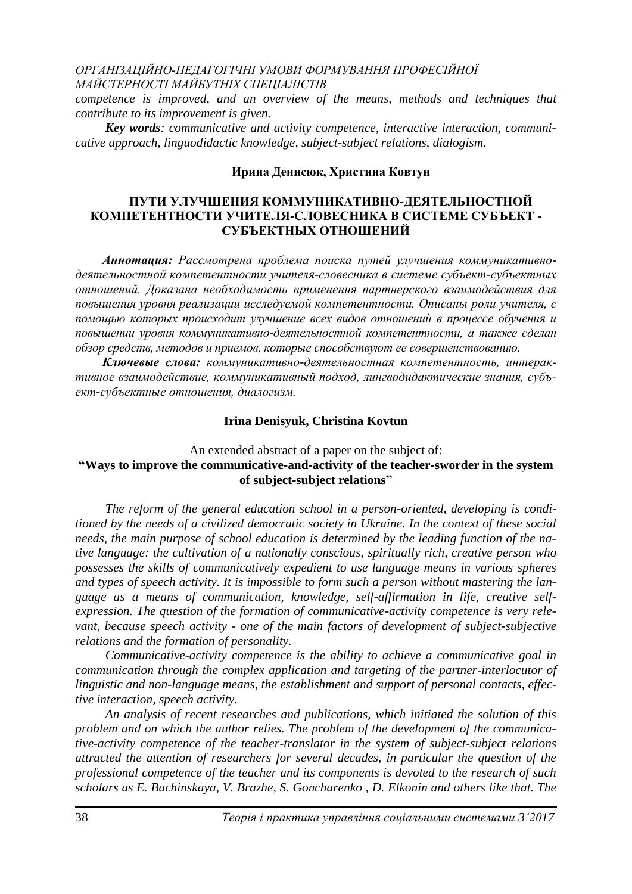*competence is improved, and an overview of the means, methods and techniques that contribute to its improvement is given.*

*Key words: communicative and activity competence, interactive interaction, communicative approach, linguodidactic knowledge, subject-subject relations, dialogism.*

#### **Ирина Денисюк, Христина Ковтун**

### **ПУТИ УЛУЧШЕНИЯ КОММУНИКАТИВНО-ДЕЯТЕЛЬНОСТНОЙ КОМПЕТЕНТНОСТИ УЧИТЕЛЯ-СЛОВЕСНИКА В СИСТЕМЕ СУБЪЕКТ - СУБЪЕКТНЫХ ОТНОШЕНИЙ**

*Аннотация: Рассмотрена проблема поиска путей улучшения коммуникативнодеятельностной компетентности учителя-словесника в системе субъект-субъектных отношений. Доказана необходимость применения партнерского взаимодействия для повышения уровня реализации исследуемой компетентности. Описаны роли учителя, с помощью которых происходит улучшение всех видов отношений в процессе обучения и повышении уровня коммуникативно-деятельностной компетентности, а также сделан обзор средств, методов и приемов, которые способствуют ее совершенствованию.*

*Ключевые слова: коммуникативно-деятельностная компетентность, интерактивное взаимодействие, коммуникативный подход, лингводидактические знания, субъект-субъектные отношения, диалогизм.*

#### **Irina Denisyuk, Christina Kovtun**

### An extended abstract of a paper on the subject of: **"Ways to improve the communicative-and-activity of the teacher-sworder in the system of subject-subject relations"**

*The reform of the general education school in a person-oriented, developing is conditioned by the needs of a civilized democratic society in Ukraine. In the context of these social needs, the main purpose of school education is determined by the leading function of the native language: the cultivation of a nationally conscious, spiritually rich, creative person who possesses the skills of communicatively expedient to use language means in various spheres and types of speech activity. It is impossible to form such a person without mastering the language as a means of communication, knowledge, self-affirmation in life, creative selfexpression. The question of the formation of communicative-activity competence is very relevant, because speech activity - one of the main factors of development of subject-subjective relations and the formation of personality.*

*Communicative-activity competence is the ability to achieve a communicative goal in communication through the complex application and targeting of the partner-interlocutor of linguistic and non-language means, the establishment and support of personal contacts, effective interaction, speech activity.*

*An analysis of recent researches and publications, which initiated the solution of this problem and on which the author relies. The problem of the development of the communicative-activity competence of the teacher-translator in the system of subject-subject relations attracted the attention of researchers for several decades, in particular the question of the professional competence of the teacher and its components is devoted to the research of such scholars as E. Bachinskaya, V. Brazhe, S. Goncharenko , D. Elkonin and others like that. The*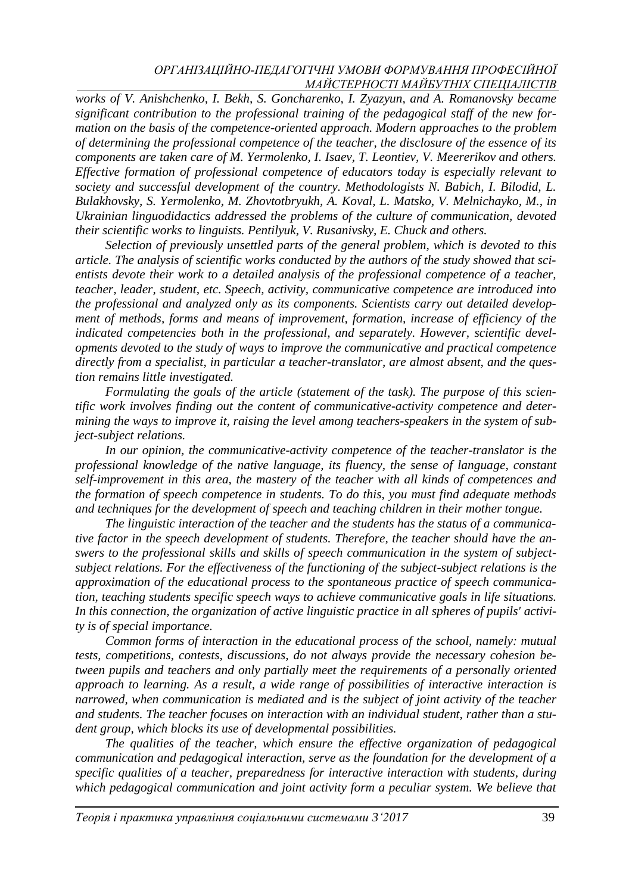*works of V. Anishchenko, I. Bekh, S. Goncharenko, I. Zyazyun, and A. Romanovsky became significant contribution to the professional training of the pedagogical staff of the new formation on the basis of the competence-oriented approach. Modern approaches to the problem of determining the professional competence of the teacher, the disclosure of the essence of its components are taken care of M. Yermolenko, I. Isaev, T. Leontiev, V. Meererikov and others. Effective formation of professional competence of educators today is especially relevant to society and successful development of the country. Methodologists N. Babich, I. Bilodid, L. Bulakhovsky, S. Yermolenko, M. Zhovtotbryukh, A. Koval, L. Matsko, V. Melnichayko, M., in Ukrainian linguodidactics addressed the problems of the culture of communication, devoted their scientific works to linguists. Pentilyuk, V. Rusanivsky, E. Chuck and others.*

*Selection of previously unsettled parts of the general problem, which is devoted to this article. The analysis of scientific works conducted by the authors of the study showed that scientists devote their work to a detailed analysis of the professional competence of a teacher, teacher, leader, student, etc. Speech, activity, communicative competence are introduced into the professional and analyzed only as its components. Scientists carry out detailed development of methods, forms and means of improvement, formation, increase of efficiency of the indicated competencies both in the professional, and separately. However, scientific developments devoted to the study of ways to improve the communicative and practical competence directly from a specialist, in particular a teacher-translator, are almost absent, and the question remains little investigated.*

*Formulating the goals of the article (statement of the task). The purpose of this scientific work involves finding out the content of communicative-activity competence and determining the ways to improve it, raising the level among teachers-speakers in the system of subject-subject relations.*

*In our opinion, the communicative-activity competence of the teacher-translator is the professional knowledge of the native language, its fluency, the sense of language, constant self-improvement in this area, the mastery of the teacher with all kinds of competences and the formation of speech competence in students. To do this, you must find adequate methods and techniques for the development of speech and teaching children in their mother tongue.*

*The linguistic interaction of the teacher and the students has the status of a communicative factor in the speech development of students. Therefore, the teacher should have the answers to the professional skills and skills of speech communication in the system of subjectsubject relations. For the effectiveness of the functioning of the subject-subject relations is the approximation of the educational process to the spontaneous practice of speech communication, teaching students specific speech ways to achieve communicative goals in life situations. In this connection, the organization of active linguistic practice in all spheres of pupils' activity is of special importance.*

*Common forms of interaction in the educational process of the school, namely: mutual tests, competitions, contests, discussions, do not always provide the necessary cohesion between pupils and teachers and only partially meet the requirements of a personally oriented approach to learning. As a result, a wide range of possibilities of interactive interaction is narrowed, when communication is mediated and is the subject of joint activity of the teacher and students. The teacher focuses on interaction with an individual student, rather than a student group, which blocks its use of developmental possibilities.*

*The qualities of the teacher, which ensure the effective organization of pedagogical communication and pedagogical interaction, serve as the foundation for the development of a specific qualities of a teacher, preparedness for interactive interaction with students, during which pedagogical communication and joint activity form a peculiar system. We believe that*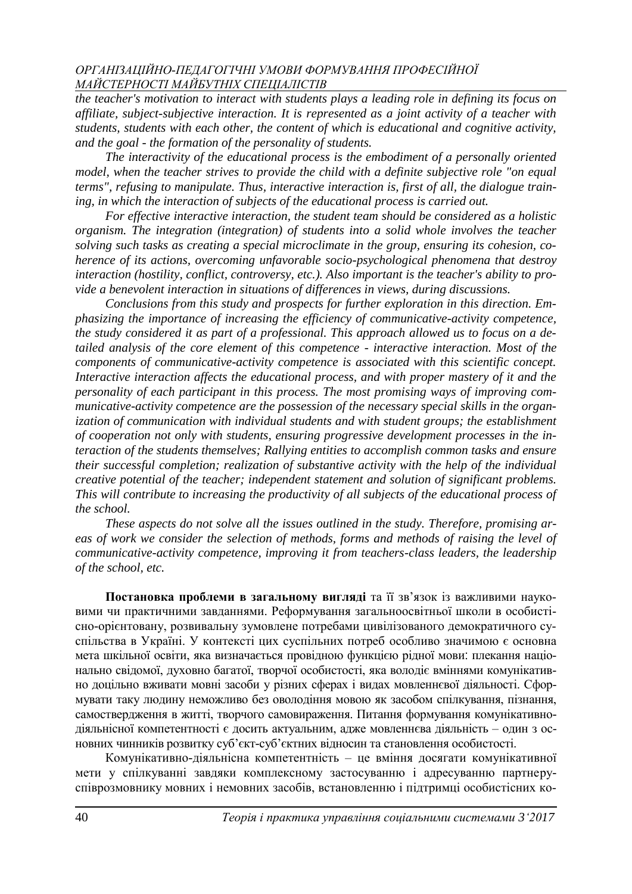*the teacher's motivation to interact with students plays a leading role in defining its focus on affiliate, subject-subjective interaction. It is represented as a joint activity of a teacher with students, students with each other, the content of which is educational and cognitive activity, and the goal - the formation of the personality of students.*

*The interactivity of the educational process is the embodiment of a personally oriented model, when the teacher strives to provide the child with a definite subjective role "on equal terms", refusing to manipulate. Thus, interactive interaction is, first of all, the dialogue training, in which the interaction of subjects of the educational process is carried out.*

*For effective interactive interaction, the student team should be considered as a holistic organism. The integration (integration) of students into a solid whole involves the teacher solving such tasks as creating a special microclimate in the group, ensuring its cohesion, coherence of its actions, overcoming unfavorable socio-psychological phenomena that destroy interaction (hostility, conflict, controversy, etc.). Also important is the teacher's ability to provide a benevolent interaction in situations of differences in views, during discussions.*

*Conclusions from this study and prospects for further exploration in this direction. Emphasizing the importance of increasing the efficiency of communicative-activity competence, the study considered it as part of a professional. This approach allowed us to focus on a detailed analysis of the core element of this competence - interactive interaction. Most of the components of communicative-activity competence is associated with this scientific concept. Interactive interaction affects the educational process, and with proper mastery of it and the personality of each participant in this process. The most promising ways of improving communicative-activity competence are the possession of the necessary special skills in the organization of communication with individual students and with student groups; the establishment of cooperation not only with students, ensuring progressive development processes in the interaction of the students themselves; Rallying entities to accomplish common tasks and ensure their successful completion; realization of substantive activity with the help of the individual creative potential of the teacher; independent statement and solution of significant problems. This will contribute to increasing the productivity of all subjects of the educational process of the school.*

*These aspects do not solve all the issues outlined in the study. Therefore, promising areas of work we consider the selection of methods, forms and methods of raising the level of communicative-activity competence, improving it from teachers-class leaders, the leadership of the school, etc.*

**Постановка проблеми в загальному вигляді** та її зв'язок із важливими науковими чи практичними завданнями. Реформування загальноосвітньої школи в особистісно-орієнтовану, розвивальну зумовлене потребами цивілізованого демократичного суспільства в Україні. У контексті цих суспільних потреб особливо значимою є основна мета шкільної освіти, яка визначається провідною функцією рідної мови: плекання національно свідомої, духовно багатої, творчої особистості, яка володіє вміннями комунікативно доцільно вживати мовні засоби у різних сферах і видах мовленнєвої діяльності. Сформувати таку людину неможливо без оволодіння мовою як засобом спілкування, пізнання, самоствердження в житті, творчого самовираження. Питання формування комунікативнодіяльнісної компетентності є досить актуальним, адже мовленнєва діяльність – один з основних чинників розвитку суб'єкт-суб'єктних відносин та становлення особистості.

Комунікативно-діяльнісна компетентність – це вміння досягати комунікативної мети у спілкуванні завдяки комплексному застосуванню і адресуванню партнеруспіврозмовнику мовних і немовних засобів, встановленню і підтримці особистісних ко-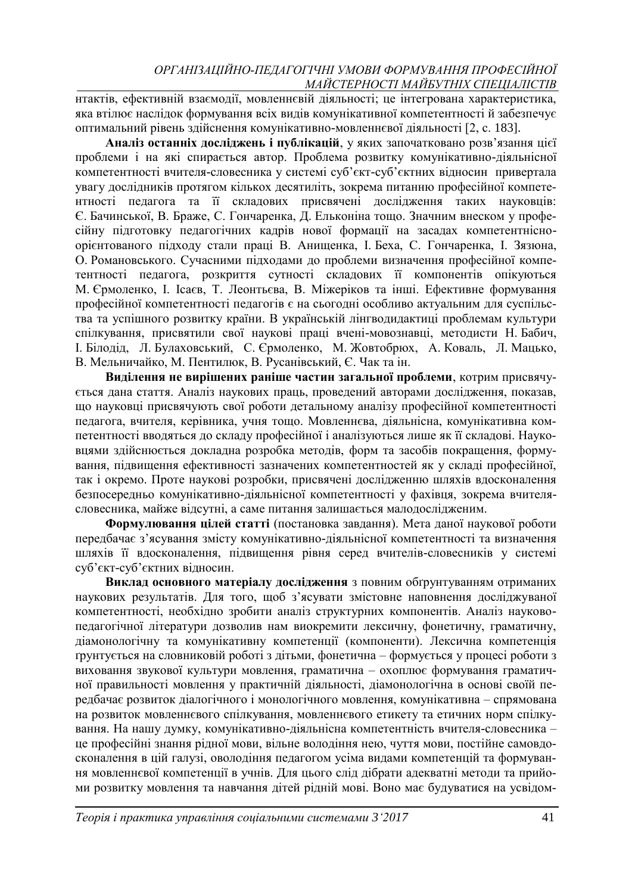нтактів, ефективній взаємодії, мовленнєвій діяльності; це інтегрована характеристика, яка втілює наслідок формування всіх видів комунікативної компетентності й забезпечує оптимальний рівень здійснення комунікативно-мовленнєвої діяльності [2, с. 183].

**Аналіз останніх досліджень і публікацій**, у яких започатковано розв'язання цієї проблеми і на які спирається автор. Проблема розвитку комунікативно-діяльнісної компетентності вчителя-словесника у системі суб'єкт-суб'єктних відносин привертала увагу дослідників протягом кількох десятиліть, зокрема питанню професійної компетентності педагога та її складових присвячені дослідження таких науковців: Є. Бачинської, В. Браже, С. Гончаренка, Д. Ельконіна тощо. Значним внеском у професійну підготовку педагогічних кадрів нової формації на засадах компетентнісноорієнтованого підходу стали праці В. Анищенка, І. Беха, С. Гончаренка, І. Зязюна, О. Романовського. Сучасними підходами до проблеми визначення професійної компетентності педагога, розкриття сутності складових її компонентів опікуються М. Єрмоленко, І. Ісаєв, Т. Леонтьєва, В. Міжеріков та інші. Ефективне формування професійної компетентності педагогів є на сьогодні особливо актуальним для суспільства та успішного розвитку країни. В українській лінгводидактиці проблемам культури спілкування, присвятили свої наукові праці вчені-мовознавці, методисти Н. Бабич, І. Білодід, Л. Булаховський, С. Єрмоленко, М. Жовтобрюх, А. Коваль, Л. Мацько, В. Мельничайко, М. Пентилюк, В. Русанівський, Є. Чак та ін.

**Виділення не вирішених раніше частин загальної проблеми**, котрим присвячується дана стаття. Аналіз наукових праць, проведений авторами дослідження, показав, що науковці присвячують свої роботи детальному аналізу професійної компетентності педагога, вчителя, керівника, учня тощо. Мовленнєва, діяльнісна, комунікативна компетентності вводяться до складу професійної і аналізуються лише як її складові. Науковцями здійснюється докладна розробка методів, форм та засобів покращення, формування, підвищення ефективності зазначених компетентностей як у складі професійної, так і окремо. Проте наукові розробки, присвячені дослідженню шляхів вдосконалення безпосередньо комунікативно-діяльнісної компетентності у фахівця, зокрема вчителясловесника, майже відсутні, а саме питання залишається малодослідженим.

**Формулювання цілей статті** (постановка завдання). Мета даної наукової роботи передбачає з'ясування змісту комунікативно-діяльнісної компетентності та визначення шляхів її вдосконалення, підвищення рівня серед вчителів-словесників у системі суб'єкт-суб'єктних відносин.

**Виклад основного матеріалу дослідження** з повним обґрунтуванням отриманих наукових результатів. Для того, щоб з'ясувати змістовне наповнення досліджуваної компетентності, необхідно зробити аналіз структурних компонентів. Аналіз науковопедагогічної літератури дозволив нам виокремити лексичну, фонетичну, граматичну, діамонологічну та комунікативну компетенції (компоненти). Лексична компетенція ґрунтується на словниковій роботі з дітьми, фонетична – формується у процесі роботи з виховання звукової культури мовлення, граматична – охоплює формування граматичної правильності мовлення у практичній діяльності, діамонологічна в основі своїй передбачає розвиток діалогічного і монологічного мовлення, комунікативна – спрямована на розвиток мовленнєвого спілкування, мовленнєвого етикету та етичних норм спілкування. На нашу думку, комунікативно-діяльнісна компетентність вчителя-словесника – це професійні знання рідної мови, вільне володіння нею, чуття мови, постійне самовдосконалення в цій галузі, оволодіння педагогом усіма видами компетенцій та формування мовленнєвої компетенції в учнів. Для цього слід дібрати адекватні методи та прийоми розвитку мовлення та навчання дітей рідній мові. Воно має будуватися на усвідом-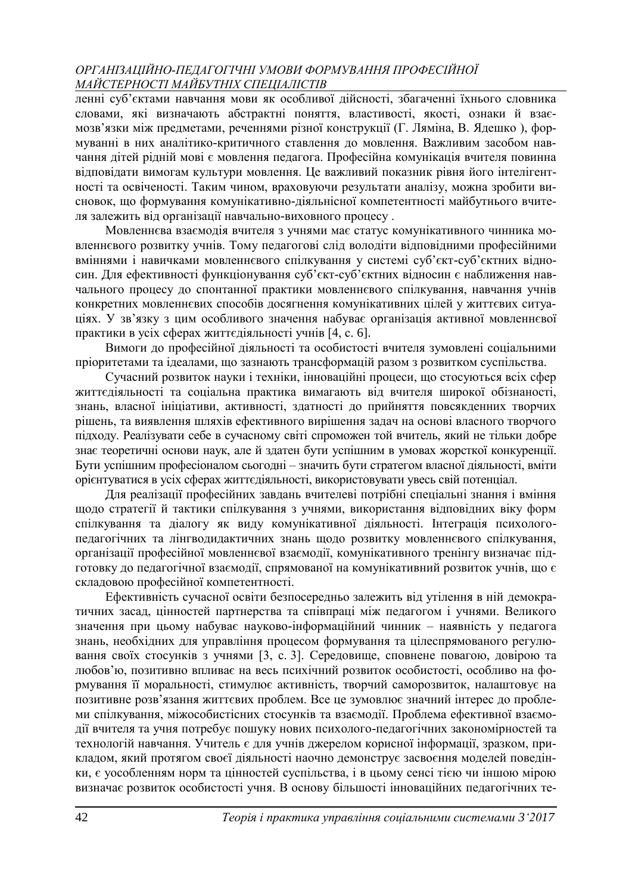ленні суб'єктами навчання мови як особливої дійсності, збагаченні їхнього словника словами, які визначають абстрактні поняття, властивості, якості, ознаки й взаємозв'язки між предметами, реченнями різної конструкції (Г. Ляміна, В. Ядешко ), формуванні в них аналітико-критичного ставлення до мовлення. Важливим засобом навчання дітей рідній мові є мовлення педагога. Професійна комунікація вчителя повинна відповідати вимогам культури мовлення. Це важливий показник рівня його інтелігентності та освіченості. Таким чином, враховуючи результати аналізу, можна зробити висновок, що формування комунікативно-діяльнісної компетентності майбутнього вчителя залежить від організації навчально-виховного процесу .

Мовленнєва взаємодія вчителя з учнями має статус комунікативного чинника мовленнєвого розвитку учнів. Тому педагогові слід володіти відповідними професійними вміннями і навичками мовленнєвого спілкування у системі суб'єкт-суб'єктних відносин. Для ефективності функціонування суб'єкт-суб'єктних відносин є наближення навчального процесу до спонтанної практики мовленнєвого спілкування, навчання учнів конкретних мовленнєвих способів досягнення комунікативних цілей у життєвих ситуаціях. У зв'язку з цим особливого значення набуває організація активної мовленнєвої практики в усіх сферах життєдіяльності учнів [4, с. 6].

Вимоги до професійної діяльності та особистості вчителя зумовлені соціальними пріоритетами та ідеалами, що зазнають трансформацій разом з розвитком суспільства.

Сучасний розвиток науки і техніки, інноваційні процеси, що стосуються всіх сфер життєдіяльності та соціальна практика вимагають від вчителя широкої обізнаності, знань, власної ініціативи, активності, здатності до прийняття повсякденних творчих рішень, та виявлення шляхів ефективного вирішення задач на основі власного творчого підходу. Реалізувати себе в сучасному світі спроможен той вчитель, який не тільки добре знає теоретичні основи наук, але й здатен бути успішним в умовах жорсткої конкуренції. Бути успішним професіоналом сьогодні – значить бути стратегом власної діяльності, вміти орієнтуватися в усіх сферах життєдіяльності, використовувати увесь свій потенціал.

Для реалізації професійних завдань вчителеві потрібні спеціальні знання і вміння щодо стратегії й тактики спілкування з учнями, використання відповідних віку форм спілкування та діалогу як виду комунікативної діяльності. Інтеграція психологопедагогічних та лінгводидактичних знань щодо розвитку мовленнєвого спілкування, організації професійної мовленнєвої взаємодії, комунікативного тренінгу визначає підготовку до педагогічної взаємодії, спрямованої на комунікативний розвиток учнів, що є складовою професійної компетентності.

Ефективність сучасної освіти безпосередньо залежить від утілення в ній демократичних засад, цінностей партнерства та співпраці між педагогом і учнями. Великого значення при цьому набуває науково-інформаційний чинник – наявність у педагога знань, необхідних для управління процесом формування та цілеспрямованого регулювання своїх стосунків з учнями [3, с. 3]. Середовище, сповнене повагою, довірою та любов'ю, позитивно впливає на весь психічний розвиток особистості, особливо на формування її моральності, стимулює активність, творчий саморозвиток, налаштовує на позитивне розв'язання життєвих проблем. Все це зумовлює значний інтерес до проблеми спілкування, міжособистісних стосунків та взаємодії. Проблема ефективної взаємодії вчителя та учня потребує пошуку нових психолого-педагогічних закономірностей та технологій навчання. Учитель є для учнів джерелом корисної інформації, зразком, прикладом, який протягом своєї діяльності наочно демонструє засвоєння моделей поведінки, є уособленням норм та цінностей суспільства, і в цьому сенсі тією чи іншою мірою визначає розвиток особистості учня. В основу більшості інноваційних педагогічних те-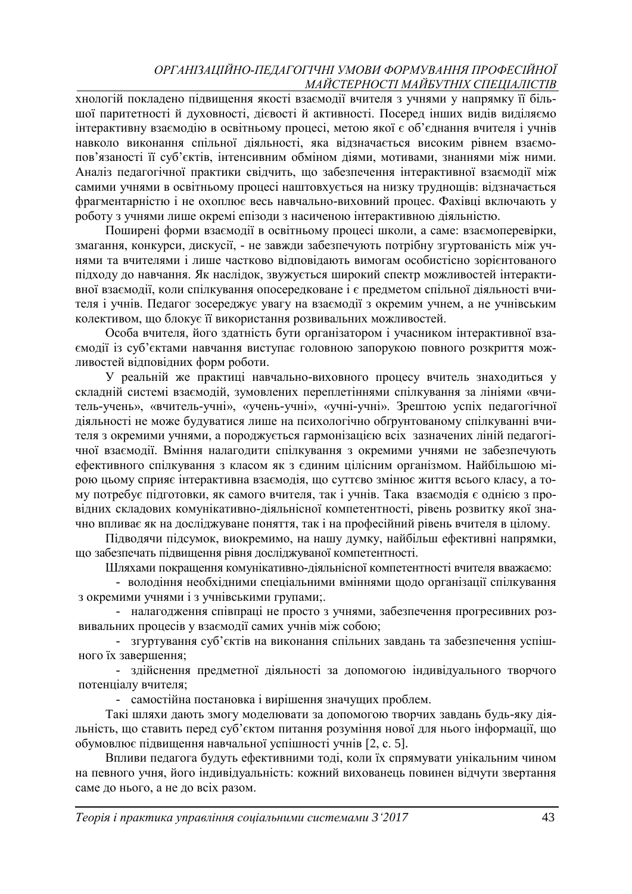хнологій покладено підвищення якості взаємодії вчителя з учнями у напрямку її більшої паритетності й духовності, дієвості й активності. Посеред інших видів виділяємо інтерактивну взаємодію в освітньому процесі, метою якої є об'єднання вчителя і учнів навколо виконання спільної діяльності, яка відзначається високим рівнем взаємопов'язаності її суб'єктів, інтенсивним обміном діями, мотивами, знаннями між ними. Аналіз педагогічної практики свідчить, що забезпечення інтерактивної взаємодії між самими учнями в освітньому процесі наштовхується на низку труднощів: відзначається фрагментарністю і не охоплює весь навчально-виховний процес. Фахівці включають у роботу з учнями лише окремі епізоди з насиченою інтерактивною діяльністю.

Поширені форми взаємодії в освітньому процесі школи, а саме: взаємоперевірки, змагання, конкурси, дискусії, - не завжди забезпечують потрібну згуртованість між учнями та вчителями і лише частково відповідають вимогам особистісно зорієнтованого підходу до навчання. Як наслідок, звужується широкий спектр можливостей інтерактивної взаємодії, коли спілкування опосередковане і є предметом спільної діяльності вчителя і учнів. Педагог зосереджує увагу на взаємодії з окремим учнем, а не учнівським колективом, що блокує її використання розвивальних можливостей.

Особа вчителя, його здатність бути організатором і учасником інтерактивної взаємодії із суб'єктами навчання виступає головною запорукою повного розкриття можливостей відповідних форм роботи.

У реальній же практиці навчально-виховного процесу вчитель знаходиться у складній системі взаємодій, зумовлених переплетіннями спілкування за лініями «вчитель-учень», «вчитель-учні», «учень-учні», «учні-учні». Зрештою успіх педагогічної діяльності не може будуватися лише на психологічно обґрунтованому спілкуванні вчителя з окремими учнями, а породжується гармонізацією всіх зазначених ліній педагогічної взаємодії. Вміння налагодити спілкування з окремими учнями не забезпечують ефективного спілкування з класом як з єдиним цілісним організмом. Найбільшою мірою цьому сприяє інтерактивна взаємодія, що суттєво змінює життя всього класу, а тому потребує підготовки, як самого вчителя, так і учнів. Така взаємодія є однією з провідних складових комунікативно-діяльнісної компетентності, рівень розвитку якої значно впливає як на досліджуване поняття, так і на професійний рівень вчителя в цілому.

Підводячи підсумок, виокремимо, на нашу думку, найбільш ефективні напрямки, що забезпечать підвищення рівня досліджуваної компетентності.

Шляхами покращення комунікативно-діяльнісної компетентності вчителя вважаємо:

- володіння необхідними спеціальними вміннями щодо організації спілкування з окремими учнями і з учнівськими групами;.

- налагодження співпраці не просто з учнями, забезпечення прогресивних розвивальних процесів у взаємодії самих учнів між собою;

- згуртування суб'єктів на виконання спільних завдань та забезпечення успішного їх завершення;

- здійснення предметної діяльності за допомогою індивідуального творчого потенціалу вчителя;

- самостійна постановка і вирішення значущих проблем.

Такі шляхи дають змогу моделювати за допомогою творчих завдань будь-яку діяльність, що ставить перед суб'єктом питання розуміння нової для нього інформації, що обумовлює підвищення навчальної успішності учнів [2, с. 5].

Впливи педагога будуть ефективними тоді, коли їх спрямувати унікальним чином на певного учня, його індивідуальність: кожний вихованець повинен відчути звертання саме до нього, а не до всіх разом.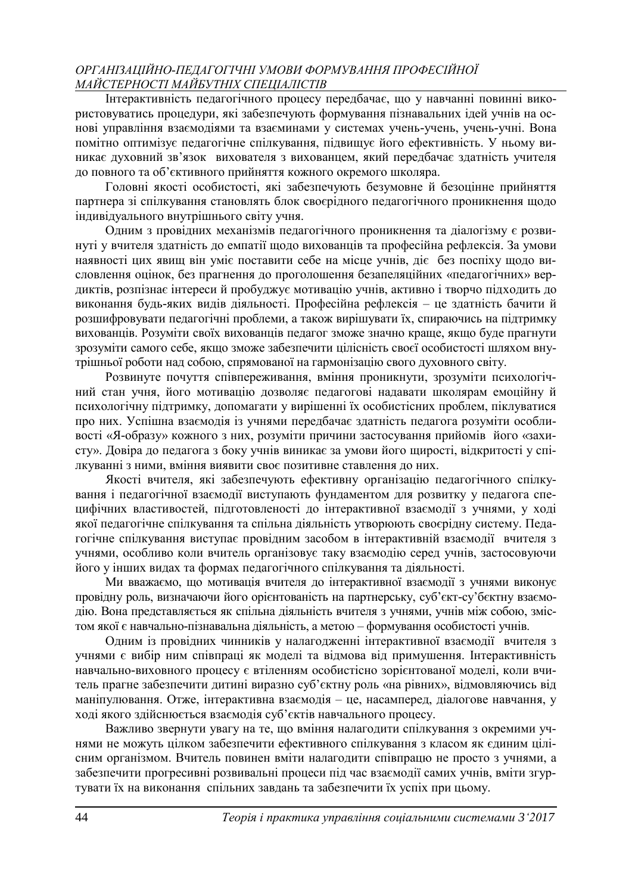Інтерактивність педагогічного процесу передбачає, що у навчанні повинні використовуватись процедури, які забезпечують формування пізнавальних ідей учнів на основі управління взаємодіями та взаєминами у системах учень-учень, учень-учні. Вона помітно оптимізує педагогічне спілкування, підвищує його ефективність. У ньому виникає духовний зв'язок вихователя з вихованцем, який передбачає здатність учителя до повного та об'єктивного прийняття кожного окремого школяра.

Головні якості особистості, які забезпечують безумовне й безоцінне прийняття партнера зі спілкування становлять блок своєрідного педагогічного проникнення щодо індивідуального внутрішнього світу учня.

Одним з провідних механізмів педагогічного проникнення та діалогізму є розвинуті у вчителя здатність до емпатії щодо вихованців та професійна рефлексія. За умови наявності цих явищ він уміє поставити себе на місце учнів, діє без поспіху щодо висловлення оцінок, без прагнення до проголошення безапеляційних «педагогічних» вердиктів, розпізнає інтереси й пробуджує мотивацію учнів, активно і творчо підходить до виконання будь-яких видів діяльності. Професійна рефлексія – це здатність бачити й розшифровувати педагогічні проблеми, а також вирішувати їх, спираючись на підтримку вихованців. Розуміти своїх вихованців педагог зможе значно краще, якщо буде прагнути зрозуміти самого себе, якщо зможе забезпечити цілісність своєї особистості шляхом внутрішньої роботи над собою, спрямованої на гармонізацію свого духовного світу.

Розвинуте почуття співпереживання, вміння проникнути, зрозуміти психологічний стан учня, його мотивацію дозволяє педагогові надавати школярам емоційну й психологічну підтримку, допомагати у вирішенні їх особистісних проблем, піклуватися про них. Успішна взаємодія із учнями передбачає здатність педагога розуміти особливості «Я-образу» кожного з них, розуміти причини застосування прийомів його «захисту». Довіра до педагога з боку учнів виникає за умови його щирості, відкритості у спілкуванні з ними, вміння виявити своє позитивне ставлення до них.

Якості вчителя, які забезпечують ефективну організацію педагогічного спілкування і педагогічної взаємодії виступають фундаментом для розвитку у педагога специфічних властивостей, підготовленості до інтерактивної взаємодії з учнями, у ході якої педагогічне спілкування та спільна діяльність утворюють своєрідну систему. Педагогічне спілкування виступає провідним засобом в інтерактивній взаємодії вчителя з учнями, особливо коли вчитель організовує таку взаємодію серед учнів, застосовуючи його у інших видах та формах педагогічного спілкування та діяльності.

Ми вважаємо, що мотивація вчителя до інтерактивної взаємодії з учнями виконує провідну роль, визначаючи його орієнтованість на партнерську, суб'єкт-су'бєктну взаємодію. Вона представляється як спільна діяльність вчителя з учнями, учнів між собою, змістом якої є навчально-пізнавальна діяльність, а метою – формування особистості учнів.

Одним із провідних чинників у налагодженні інтерактивної взаємодії вчителя з учнями є вибір ним співпраці як моделі та відмова від примушення. Інтерактивність навчально-виховного процесу є втіленням особистісно зорієнтованої моделі, коли вчитель прагне забезпечити дитині виразно суб'єктну роль «на рівних», відмовляючись від маніпулювання. Отже, інтерактивна взаємодія – це, насамперед, діалогове навчання, у ході якого здійснюється взаємодія суб'єктів навчального процесу.

Важливо звернути увагу на те, що вміння налагодити спілкування з окремими учнями не можуть цілком забезпечити ефективного спілкування з класом як єдиним цілісним організмом. Вчитель повинен вміти налагодити співпрацю не просто з учнями, а забезпечити прогресивні розвивальні процеси під час взаємодії самих учнів, вміти згуртувати їх на виконання спільних завдань та забезпечити їх успіх при цьому.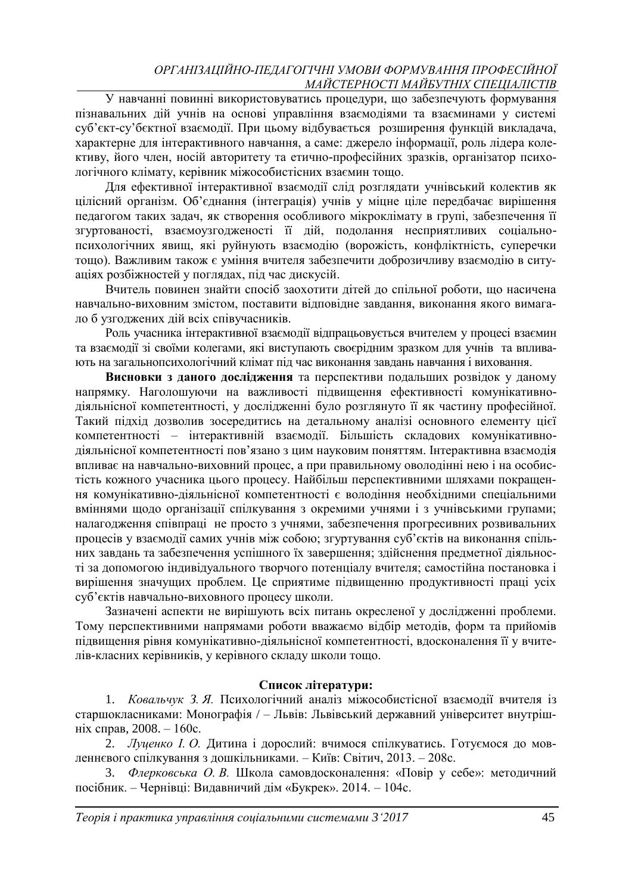У навчанні повинні використовуватись процедури, що забезпечують формування пізнавальних дій учнів на основі управління взаємодіями та взаєминами у системі суб'єкт-су'бєктної взаємодії. При цьому відбувається розширення функцій викладача, характерне для інтерактивного навчання, а саме: джерело інформації, роль лідера колективу, його член, носій авторитету та етично-професійних зразків, організатор психологічного клімату, керівник міжособистісних взаємин тощо.

Для ефективної інтерактивної взаємодії слід розглядати учнівський колектив як цілісний організм. Об'єднання (інтеграція) учнів у міцне ціле передбачає вирішення педагогом таких задач, як створення особливого мікроклімату в групі, забезпечення її згуртованості, взаємоузгодженості її дій, подолання несприятливих соціальнопсихологічних явищ, які руйнують взаємодію (ворожість, конфліктність, суперечки тощо). Важливим також є уміння вчителя забезпечити доброзичливу взаємодію в ситуаціях розбіжностей у поглядах, під час дискусій.

Вчитель повинен знайти спосіб заохотити дітей до спільної роботи, що насичена навчально-виховним змістом, поставити відповідне завдання, виконання якого вимагало б узгоджених дій всіх співучасників.

Роль учасника інтерактивної взаємодії відпрацьовується вчителем у процесі взаємин та взаємодії зі своїми колегами, які виступають своєрідним зразком для учнів та впливають на загальнопсихологічний клімат під час виконання завдань навчання і виховання.

**Висновки з даного дослідження** та перспективи подальших розвідок у даному напрямку. Наголошуючи на важливості підвищення ефективності комунікативнодіяльнісної компетентності, у дослідженні було розглянуто її як частину професійної. Такий підхід дозволив зосередитись на детальному аналізі основного елементу цієї компетентності – інтерактивній взаємодії. Більшість складових комунікативнодіяльнісної компетентності пов'язано з цим науковим поняттям. Інтерактивна взаємодія впливає на навчально-виховний процес, а при правильному оволодінні нею і на особистість кожного учасника цього процесу. Найбільш перспективними шляхами покращення комунікативно-діяльнісної компетентності є володіння необхідними спеціальними вміннями щодо організації спілкування з окремими учнями і з учнівськими групами; налагодження співпраці не просто з учнями, забезпечення прогресивних розвивальних процесів у взаємодії самих учнів між собою; згуртування суб'єктів на виконання спільних завдань та забезпечення успішного їх завершення; здійснення предметної діяльності за допомогою індивідуального творчого потенціалу вчителя; самостійна постановка і вирішення значущих проблем. Це сприятиме підвищенню продуктивності праці усіх суб'єктів навчально-виховного процесу школи.

Зазначені аспекти не вирішують всіх питань окресленої у дослідженні проблеми. Тому перспективними напрямами роботи вважаємо відбір методів, форм та прийомів підвищення рівня комунікативно-діяльнісної компетентності, вдосконалення її у вчителів-класних керівників, у керівного складу школи тощо.

#### **Список літератури:**

1. *Ковальчук З. Я.* Психологічний аналіз міжособистісної взаємодії вчителя із старшокласниками: Монографія / – Львів: Львівський державний університет внутрішніх справ, 2008. – 160с.

2. *Луценко І. О.* Дитина і дорослий: вчимося спілкуватись. Готуємося до мовленнєвого спілкування з дошкільниками. – Київ: Світич, 2013. – 208с.

3. *Флерковська О. В.* Школа самовдосконалення: «Повір у себе»: методичний посібник. – Чернівці: Видавничий дім «Букрек». 2014. – 104с.